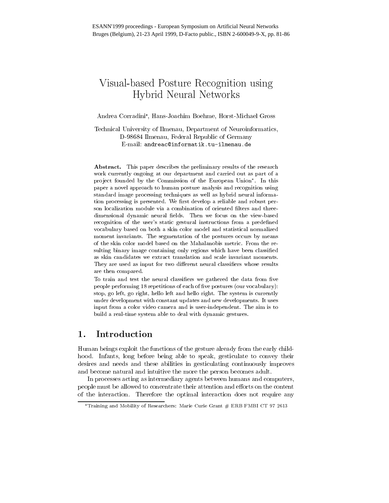# Visual-based Posture Recognition using Hybrid Neural Networks

### Andrea Corradini , Hans-Joachim Boehme, Horst-Michael Gross

Technical University of Ilmenau, Department of Neuroinformatics, D-98684 Ilmenau, Federal Republic of Germany E-mail: andreac@informatik.tu-ilmenau.de

Abstract. This paper describes the preliminary results of the research work currently ongoing at our department and carried out as part of apro ject founded by the Commission of the European Union . In this paper a novel approach to human posture analysis and recognition usingstandard image processing techniques as well as hybrid neural information processing is presented. We rst develop a reliable and robust person localization module via a combination of oriented filters and threedimensional dimensional del selds. The self-communication of the view-based on the view-based on the view-based recognition of the user's static gestural instructions from a predefined vocabulary based on both a skin color model and statistical normalizedmoment invariants. The segmentation of the postures occurs by means of the skin color model based on the Mahalanobis metric. From the resulting binary image containing only regions which have been classiedas skin candidates we extract translation and scale invariant moments.They are used as input for two different neural classifiers whose results are then compared.

To train and test the neural classiers we gathered the data from ve people performing 18 repetitions of each of five postures (our vocabulary): stop, go left, go right, hello left and hello right. The system is currently under development with constant updates and new developments. It usesinput from a color video camera and is user-independent. The aim is to build a real-time system able to deal with dynamic gestures.

### 1.Introduction

Human beings exploit the functions of the gesture already from the early childhood. Infants, long before being able to speak, gesticulate to convey their desires and needs and these abilities in gesticulating continuously improves and become natural and intuitive the more the person becomes adult.

In processes acting as intermediary agents between humans and computers, people must be allowed to concentrate their attention and efforts on the content of the interaction. Therefore the optimal interaction does not require any

Training and Mobility of Researchers: Marie Curie Grant # ERB FMBI CT 97 2613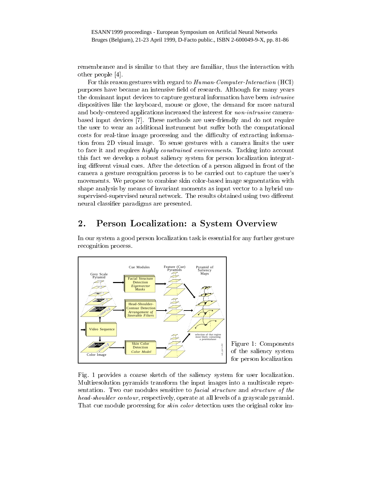remembrance and is similar to that they are familiar, thus the interaction with other people [4].

For this reason gestures with regard to Human-Computer-Interaction (HCI) purposes have became an intensive field of research. Although for many years the dominant input devices to capture gestural information have been intrusive dispositives like the keyboard, mouse or glove, the demand for more natural and body-centered applications increased the interest for non-intrusive camerabased input devices [7]. These methods are user-friendly and do not require the user to wear an additional instrument but suffer both the computational costs for real-time image processing and the difficulty of extracting information from 2D visual image. To sense gestures with a camera limits the user to face it and requires highly constrained environments. Tacking into account this fact we develop a robust saliency system for person localization integrating different visual cues. After the detection of a person aligned in front of the camera a gesture recognition process is to be carried out to capture the user's movements. We propose to combine skin color-based image segmentation with shape analysis by means of invariant moments as input vector to a hybrid unsupervised-supervised neural network. The results obtained using two different neural classier paradigms are presented.

### 2.Person Localization: <sup>a</sup> System Overview

In our system a good person localization task is essential for any further gesture recognition process.



Fig. 1 provides a coarse sketch of the saliency system for user localization. Multiresolution pyramids transform the input images into a multiscale representation. Two cue modules sensitive to *facial structure* and *structure of the* head-shoulder contour, respectively, operate at all levels of a grayscale pyramid. That cue module processing for *skin color* detection uses the original color im-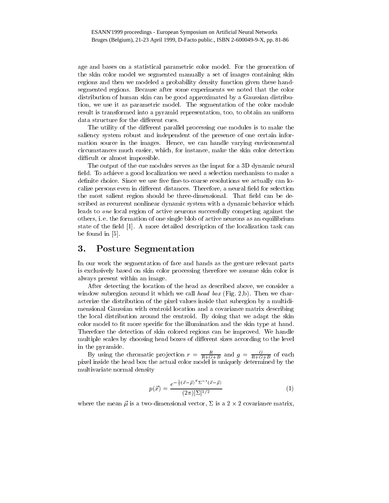age and bases on a statistical parametric color model. For the generation of the skin color model we segmented manually a set of images containing skin regions and then we modeled a probability density function given these handsegmented regions. Because after some experiments we noted that the color distribution of human skin can be good approximated by a Gaussian distribution, we use it as parametric model. The segmentation of the color module result is transformed into a pyramid representation, too, to obtain an uniform data structure for the different cues.

The utility of the different parallel processing cue modules is to make the saliency system robust and independent of the presence of one certain information source in the images. Hence, we can handle varying environmental circumstances much easier, which, for instance, make the skin color detection difficult or almost impossible.

The output of the cue modules serves as the input for a 3D dynamic neural field. To achieve a good localization we need a selection mechanism to make a definite choice. Since we use five fine-to-coarse resolutions we actually can localize persons even in different distances. Therefore, a neural field for selection the most salient region should be three-dimensional. That field can be described as recurrent nonlinear dynamic system with a dynamic behavior which leads to one local region of active neurons successfully competing against the others, i. e. the formation of one single blob of active neurons as an equilibrium state of the field  $[1]$ . A more detailed description of the localization task can be found in [5].

#### 3.Posture Segmentation

In our work the segmentation of face and hands as the gesture relevant parts is exclusively based on skin color processing therefore we assume skin color is always present within an image.

After detecting the location of the head as described above, we consider a window subregion around it which we call head box (Fig. 2,b). Then we characterize the distribution of the pixel values inside that subregion byamultidimensional Gaussian with centroid location and a covariance matrix describing the local distribution around the centroid. By doing that we adapt the skin color model to fit more specific for the illumination and the skin type at hand. Therefore the detection of skin colored regions can be improved. We handle multiple scales by choosing head boxes of different sizes according to the level in the pyramide.

By using the chromatic projection  $r = \frac{R+G+B}{R+G+B}$  and  $g = \frac{R+G+B}{R+G+B}$  or each pixel inside the head box the actual color model is uniquely determined by the multivariate normal density

$$
p(\vec{x}) = \frac{e^{-\frac{1}{2}(\vec{x} - \vec{\mu})^T \Sigma^{-1} (\vec{x} - \vec{\mu})}}{(2\pi)|\Sigma|^{1/2}}
$$
(1)

where the mean  $\mu$  is a two-dimensional vector,  $\Sigma$  is a 2  $\times$  2 covariance matrix,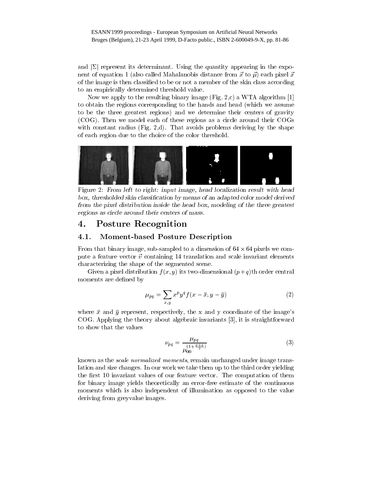and  $|\Sigma|$  represent its determinant. Using the quantity appearing in the exponent of equation 1 (also called Mahalanobis distance from  $\vec{x}$  to  $\vec{\mu}$ ) each pixel  $\vec{x}$ of the image is then classied to be or not a member of the skin class according to an empirically determined threshold value.

Now we apply to the resulting binary image (Fig. 2,c) a WTA algorithm [1] to obtain the regions corresponding to the hands and head (which we assume to be the three greatest regions) and we determine their centers of gravity (COG). Then we model each of these regions as a circle around their COGs with constant radius (Fig. 2,d). That avoids problems deriving by the shape of each region due to the choice of the color threshold.



Figure 2: From left to right: input image, head localization result with head box, thresholded skin classication by means of an adapted color model derivedfrom the pixel distribution inside the head box, modeling of the three greatestregions as circle around their centers of mass.

## Posture Recognition

#### $4.1.$ Moment-based Posture Description

From that binary image, sub-sampled to a dimension of  $64 \times 64$  pixels we compute a feature vector  $\vec{v}$  containing 14 translation and scale invariant elements characterizing the shape of the segmented scene.

Given a pixel distribution  $f(x, y)$  its two-dimensional  $(p+q)$ th order central moments are defined by

$$
\mu_{pq} = \sum_{x,y} x^p y^q f(x - \bar{x}, y - \bar{y}) \tag{2}
$$

where  $\bar{x}$  and  $\bar{y}$  represent, respectively, the x and y coordinate of the image's COG. Applying the theory about algebraic invariants [3], it is straightforward to show that the values

$$
\nu_{pq} = \frac{\mu_{pq}}{\mu_{00}^{(1 + \frac{p+q}{2})}}\tag{3}
$$

known as the scale normalized moments, remain unchanged under image translation and size changes. In our work we take them up to the third order yielding the first 10 invariant values of our feature vector. The computation of them for binary image yields theoretically an error-free estimate of the continuous moments which is also independent of illumination as opposed to the value deriving from greyvalue images.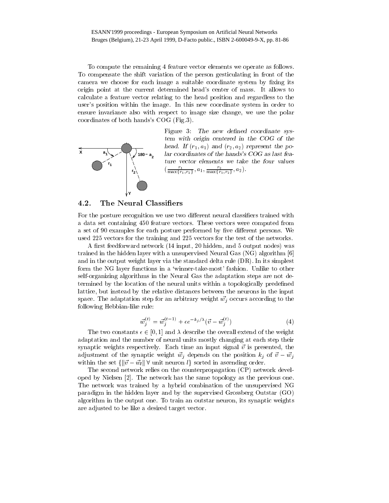To compute the remaining 4 feature vector elements we operate as follows. To compensate the shift variation of the person gesticulating in front of the camera we choose for each image a suitable coordinate system by fixing its origin point at the current determined head's center of mass. It allows to calculate a feature vector relating to the head position and regardless to the user's position within the image. In this new coordinate system in order to ensure invariance also with respect to image size change, we use the polar coordinates of both hands's COG (Fig.3).



Figure 3: The new defined coordinate system with origin centered in the COG of the  $mean.$   $\mu$  (r<sub>1</sub>,  $a_{1}$ ) and (r<sub>2</sub>,  $a_{2}$ ) represent the polar coordinates of the hands's COG as last fea- $(\frac{1}{\max\{r_1,r_2\}},a_1,\frac{1}{\max\{r_1,r_2\}},a_2).$ 

### 4.2. The Neural Classiers

For the posture recognition we use two different neural classifiers trained with a data set containing 450 feature vectors. These vectors were computed from a set of 90 examples for each posture performed by five different persons. We used 225 vectors for the training and 225 vectors for the test of the networks.

A first feedforward network (14 input, 20 hidden, and 5 output nodes) was trained in the hidden layer with a unsupervised Neural Gas (NG) algorithm [6] and in the output weight layer via the standard delta rule (DR). In its simplest form the NG layer functions in a 'winner-take-most' fashion. Unlike to other self-organizing algorithms in the Neural Gas the adaptation steps are not determined by the location of the neural units within a topologically predened lattice, but instead by the relative distances between the neurons in the input space. The adaptation step for an arbitrary weight  $\vec{w_j}$  occurs according to the following Hebbian-like rule:

$$
\vec{w}_j^{(t)} = \vec{w}_j^{(t-1)} + \epsilon e^{-k_j/\lambda} (\vec{v} - \vec{w}_j^{(t)})
$$
(4)

The two constants  $\epsilon \in [0, 1]$  and  $\lambda$  describe the overall extend of the weight adaptation and the number of neural units mostly changing at each step their synaptic weights respectively. Each time an input signal  $\vec{v}$  is presented, the adjustment of the synaptic weight  $\vec{w}_i$  depends on the position  $k_i$  of  $\vec{v} - \vec{w}_i$ within the set  $\{\|\vec{v}-\vec{w}_l\| \forall \text{ unit neuron } l\}$  sorted in ascending order.

The second network relies on the counterpropagation (CP) network developed by Nielsen [2]. The network has the same topology as the previous one. The network was trained by a hybrid combination of the unsupervised NG paradigm in the hidden layer and by the supervised Grossberg Outstar (GO) algorithm in the output one. To train an outstar neuron, its synaptic weights are adjusted to be like a desired target vector.